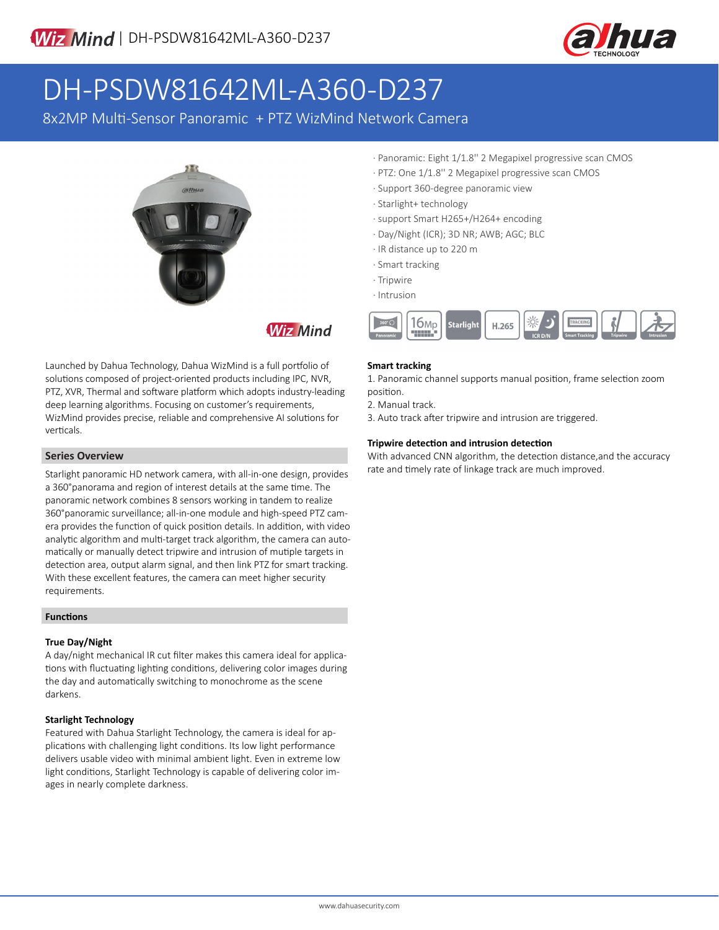

# DH-PSDW81642ML-A360-D237

8x2MP Multi-Sensor Panoramic + PTZ WizMind Network Camera



**Wiz Mind** 

Launched by Dahua Technology, Dahua WizMind is a full portfolio of solutions composed of project-oriented products including IPC, NVR, PTZ, XVR, Thermal and software platform which adopts industry-leading deep learning algorithms. Focusing on customer's requirements, WizMind provides precise, reliable and comprehensive AI solutions for verticals.

#### **Series Overview**

Starlight panoramic HD network camera, with all-in-one design, provides a 360°panorama and region of interest details at the same time. The panoramic network combines 8 sensors working in tandem to realize 360°panoramic surveillance; all-in-one module and high-speed PTZ camera provides the function of quick position details. In addition, with video analytic algorithm and multi-target track algorithm, the camera can automatically or manually detect tripwire and intrusion of mutiple targets in detection area, output alarm signal, and then link PTZ for smart tracking. With these excellent features, the camera can meet higher security requirements.

#### **Functions**

#### **True Day/Night**

A day/night mechanical IR cut filter makes this camera ideal for applications with fluctuating lighting conditions, delivering color images during the day and automatically switching to monochrome as the scene darkens.

#### **Starlight Technology**

Featured with Dahua Starlight Technology, the camera is ideal for applications with challenging light conditions. Its low light performance delivers usable video with minimal ambient light. Even in extreme low light conditions, Starlight Technology is capable of delivering color images in nearly complete darkness.

- · Panoramic: Eight 1/1.8'' 2 Megapixel progressive scan CMOS
- · PTZ: One 1/1.8'' 2 Megapixel progressive scan CMOS
- · Support 360-degree panoramic view
- · Starlight+ technology
- · support Smart H265+/H264+ encoding
- · Day/Night (ICR); 3D NR; AWB; AGC; BLC
- · IR distance up to 220 m
- · Smart tracking
- · Tripwire
- · Intrusion



#### **Smart tracking**

1. Panoramic channel supports manual position, frame selection zoom position.

2. Manual track.

3. Auto track after tripwire and intrusion are triggered.

#### **Tripwire detection and intrusion detection**

With advanced CNN algorithm, the detection distance,and the accuracy rate and timely rate of linkage track are much improved.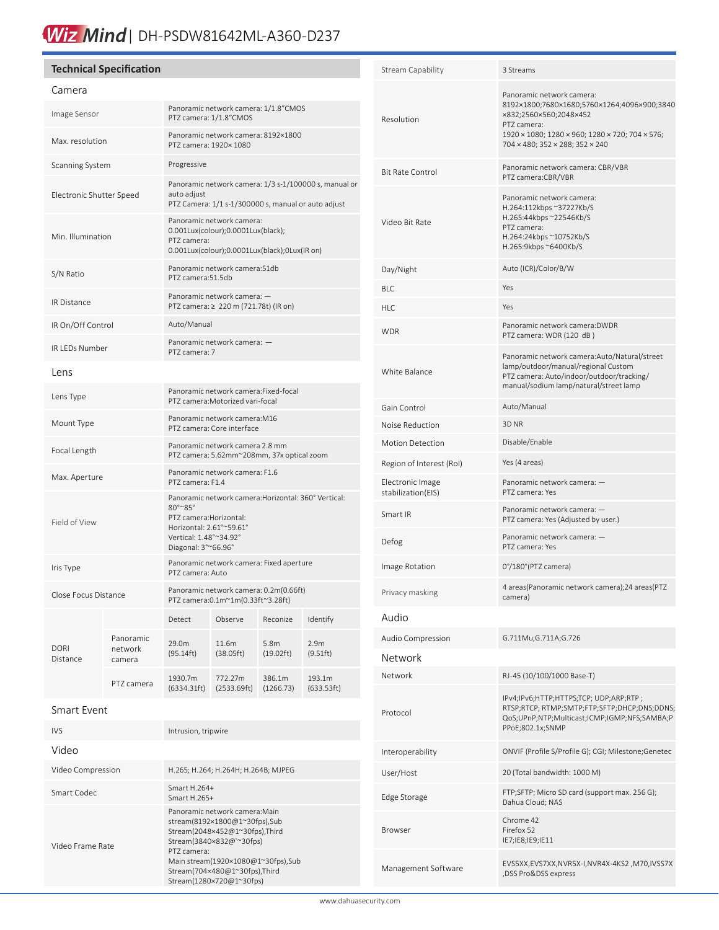# Wiz Mind | DH-PSDW81642ML-A360-D237

### **Technical Specification**

#### Camera

| Camera                   |                                |                                                                                                                                                                         |                        |                                         |                              |
|--------------------------|--------------------------------|-------------------------------------------------------------------------------------------------------------------------------------------------------------------------|------------------------|-----------------------------------------|------------------------------|
| Image Sensor             |                                | Panoramic network camera: 1/1.8"CMOS<br>PTZ camera: 1/1.8"CMOS                                                                                                          |                        |                                         |                              |
| Max. resolution          |                                | Panoramic network camera: 8192×1800<br>PTZ camera: 1920× 1080                                                                                                           |                        |                                         |                              |
| Scanning System          |                                | Progressive                                                                                                                                                             |                        |                                         |                              |
| Electronic Shutter Speed |                                | Panoramic network camera: 1/3 s-1/100000 s, manual or<br>auto adiust<br>PTZ Camera: 1/1 s-1/300000 s, manual or auto adjust                                             |                        |                                         |                              |
| Min. Illumination        |                                | Panoramic network camera:<br>0.001Lux(colour);0.0001Lux(black);<br>PTZ camera:<br>0.001Lux(colour);0.0001Lux(black);0Lux(IR on)                                         |                        |                                         |                              |
| S/N Ratio                |                                | Panoramic network camera:51db<br>PTZ camera:51.5db                                                                                                                      |                        |                                         |                              |
| <b>IR Distance</b>       |                                | Panoramic network camera: -<br>PTZ camera: ≥ 220 m (721.78t) (IR on)                                                                                                    |                        |                                         |                              |
| IR On/Off Control        |                                | Auto/Manual                                                                                                                                                             |                        |                                         |                              |
| IR LEDs Number           |                                | Panoramic network camera: -<br>PTZ camera: 7                                                                                                                            |                        |                                         |                              |
| Lens                     |                                |                                                                                                                                                                         |                        |                                         |                              |
| Lens Type                |                                | Panoramic network camera:Fixed-focal<br>PTZ camera: Motorized vari-focal                                                                                                |                        |                                         |                              |
| Mount Type               |                                | Panoramic network camera: M16<br>PTZ camera: Core interface                                                                                                             |                        |                                         |                              |
| Focal Length             |                                | Panoramic network camera 2.8 mm<br>PTZ camera: 5.62mm~208mm, 37x optical zoom                                                                                           |                        |                                         |                              |
| Max. Aperture            |                                | Panoramic network camera: F1.6<br>PTZ camera: F1.4                                                                                                                      |                        |                                         |                              |
| Field of View            |                                | Panoramic network camera: Horizontal: 360° Vertical:<br>80°~85°<br>PTZ camera: Horizontal:<br>Horizontal: 2.61°~59.61°<br>Vertical: 1.48°~34.92°<br>Diagonal: 3°~66.96° |                        |                                         |                              |
| Iris Type                |                                | Panoramic network camera: Fixed aperture<br>PTZ camera: Auto                                                                                                            |                        |                                         |                              |
| Close Focus Distance     |                                | Panoramic network camera: 0.2m(0.66ft)<br>PTZ camera:0.1m~1m(0.33ft~3.28ft)                                                                                             |                        |                                         |                              |
|                          |                                | Detect                                                                                                                                                                  | Observe                | Reconize                                | Identify                     |
| <b>DORI</b><br>Distance  | Panoramic<br>network<br>camera | 29.0m<br>(95.14ft)                                                                                                                                                      | 11.6m<br>(38.05ft)     | 5.8 <sub>m</sub><br>$(19.02 \text{ft})$ | 2.9 <sub>m</sub><br>(9.51ft) |
|                          | PTZ camera                     | 1930.7m<br>(6334.31ft)                                                                                                                                                  | 772.27m<br>(2533.69ft) | 386.1m<br>(1266.73)                     | 193.1m<br>(633.53ft)         |

#### Smart Event

֠

| IVS.              | Intrusion, tripwire                                                                                                                                                                                                                             |
|-------------------|-------------------------------------------------------------------------------------------------------------------------------------------------------------------------------------------------------------------------------------------------|
| Video             |                                                                                                                                                                                                                                                 |
| Video Compression | H.265; H.264; H.264H; H.264B; MJPEG                                                                                                                                                                                                             |
| Smart Codec       | Smart $H.264+$<br>Smart $H.265+$                                                                                                                                                                                                                |
| Video Frame Rate  | Panoramic network camera: Main<br>stream(8192×1800@1~30fps),Sub<br>Stream(2048×452@1~30fps),Third<br>Stream(3840×832@`~30fps)<br>PT7 camera:<br>Main stream(1920×1080@1~30fps),Sub<br>Stream(704×480@1~30fps),Third<br>Stream(1280×720@1~30fps) |

| <b>Stream Capability</b>               | 3 Streams                                                                                                                                                                                               |  |  |
|----------------------------------------|---------------------------------------------------------------------------------------------------------------------------------------------------------------------------------------------------------|--|--|
| Resolution                             | Panoramic network camera:<br>8192×1800;7680×1680;5760×1264;4096×900;3840<br>×832;2560×560;2048×452<br>PTZ camera:<br>1920 × 1080; 1280 × 960; 1280 × 720; 704 × 576;<br>704 × 480; 352 × 288; 352 × 240 |  |  |
| <b>Bit Rate Control</b>                | Panoramic network camera: CBR/VBR<br>PTZ camera:CBR/VBR                                                                                                                                                 |  |  |
| Video Bit Rate                         | Panoramic network camera:<br>H.264:112kbps ~37227Kb/S<br>H.265:44kbps ~22546Kb/S<br>PTZ camera:<br>H.264:24kbps ~10752Kb/S<br>H.265:9kbps ~6400Kb/S                                                     |  |  |
| Day/Night                              | Auto (ICR)/Color/B/W                                                                                                                                                                                    |  |  |
| BLC                                    | Yes                                                                                                                                                                                                     |  |  |
| HLC                                    | Yes                                                                                                                                                                                                     |  |  |
| <b>WDR</b>                             | Panoramic network camera:DWDR<br>PTZ camera: WDR (120 dB)                                                                                                                                               |  |  |
| White Balance                          | Panoramic network camera:Auto/Natural/street<br>lamp/outdoor/manual/regional Custom<br>PTZ camera: Auto/indoor/outdoor/tracking/<br>manual/sodium lamp/natural/street lamp                              |  |  |
| Gain Control                           | Auto/Manual                                                                                                                                                                                             |  |  |
| Noise Reduction                        | 3D NR                                                                                                                                                                                                   |  |  |
| <b>Motion Detection</b>                | Disable/Enable                                                                                                                                                                                          |  |  |
| Region of Interest (RoI)               | Yes (4 areas)                                                                                                                                                                                           |  |  |
| Electronic Image<br>stabilization(EIS) | Panoramic network camera: -<br>PTZ camera: Yes                                                                                                                                                          |  |  |
| Smart IR                               | Panoramic network camera: -<br>PTZ camera: Yes (Adjusted by user.)                                                                                                                                      |  |  |
| Defog                                  | Panoramic network camera: -<br>PTZ camera: Yes                                                                                                                                                          |  |  |
| Image Rotation                         | 0°/180°(PTZ camera)                                                                                                                                                                                     |  |  |
| Privacy masking                        | 4 areas(Panoramic network camera);24 areas(PTZ<br>camera)                                                                                                                                               |  |  |
| Audio                                  |                                                                                                                                                                                                         |  |  |
| Audio Compression                      | G.711Mu;G.711A;G.726                                                                                                                                                                                    |  |  |
| Network                                |                                                                                                                                                                                                         |  |  |
| Network                                | RJ-45 (10/100/1000 Base-T)                                                                                                                                                                              |  |  |
| Protocol                               | IPv4;IPv6;HTTP;HTTPS;TCP; UDP;ARP;RTP;<br>RTSP;RTCP; RTMP;SMTP;FTP;SFTP;DHCP;DNS;DDNS;<br>QoS;UPnP;NTP;Multicast;ICMP;IGMP;NFS;SAMBA;P<br>PPoE;802.1x;SNMP                                              |  |  |
| Interoperability                       | ONVIF (Profile S/Profile G); CGI; Milestone;Genetec                                                                                                                                                     |  |  |
| User/Host                              | 20 (Total bandwidth: 1000 M)                                                                                                                                                                            |  |  |
| Edge Storage                           | FTP;SFTP; Micro SD card (support max. 256 G);<br>Dahua Cloud; NAS                                                                                                                                       |  |  |
| Browser                                | Chrome 42<br>Firefox 52<br>IE7;IE8;IE9;IE11                                                                                                                                                             |  |  |
| Management Software                    | EVS5XX,EVS7XX,NVR5X-I,NVR4X-4KS2,M70,IVSS7X<br>,DSS Pro&DSS express                                                                                                                                     |  |  |